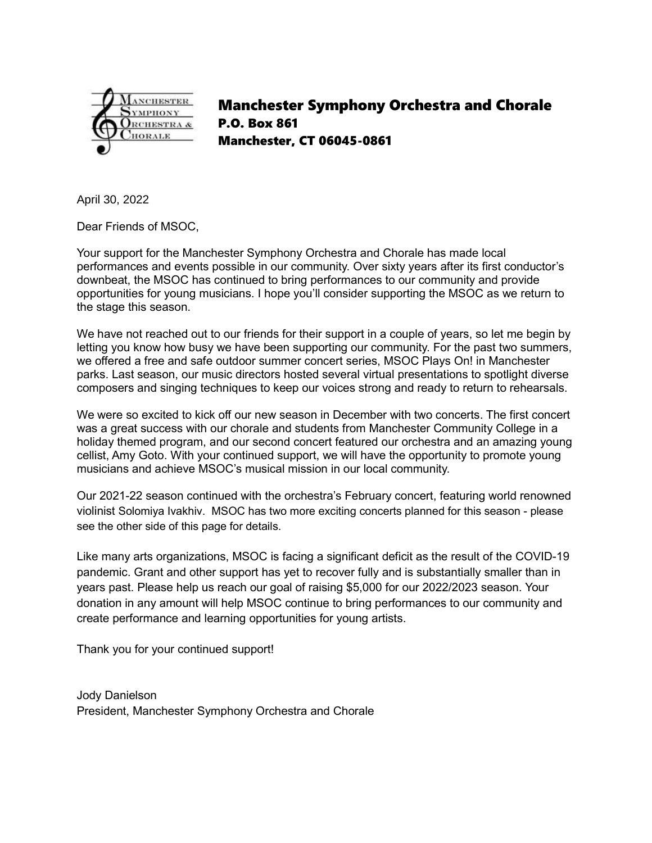

Manchester Symphony Orchestra and Chorale P.O. Box 861 Manchester, CT 06045-0861

April 30, 2022

Dear Friends of MSOC,

Your support for the Manchester Symphony Orchestra and Chorale has made local performances and events possible in our community. Over sixty years after its first conductor's downbeat, the MSOC has continued to bring performances to our community and provide opportunities for young musicians. I hope you'll consider supporting the MSOC as we return to the stage this season.

We have not reached out to our friends for their support in a couple of years, so let me begin by letting you know how busy we have been supporting our community. For the past two summers, we offered a free and safe outdoor summer concert series, MSOC Plays On! in Manchester parks. Last season, our music directors hosted several virtual presentations to spotlight diverse composers and singing techniques to keep our voices strong and ready to return to rehearsals.

We were so excited to kick off our new season in December with two concerts. The first concert was a great success with our chorale and students from Manchester Community College in a holiday themed program, and our second concert featured our orchestra and an amazing young cellist, Amy Goto. With your continued support, we will have the opportunity to promote young musicians and achieve MSOC's musical mission in our local community.

Our 2021-22 season continued with the orchestra's February concert, featuring world renowned violinist Solomiya Ivakhiv. MSOC has two more exciting concerts planned for this season - please see the other side of this page for details.

Like many arts organizations, MSOC is facing a significant deficit as the result of the COVID-19 pandemic. Grant and other support has yet to recover fully and is substantially smaller than in years past. Please help us reach our goal of raising \$5,000 for our 2022/2023 season. Your donation in any amount will help MSOC continue to bring performances to our community and create performance and learning opportunities for young artists.

Thank you for your continued support!

Jody Danielson President, Manchester Symphony Orchestra and Chorale